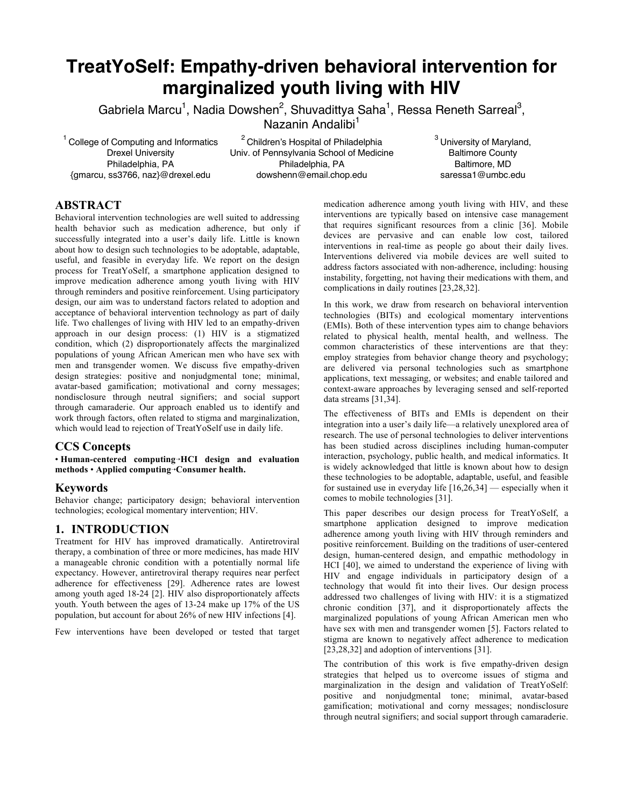# **TreatYoSelf: Empathy-driven behavioral intervention for marginalized youth living with HIV**

Gabriela Marcu<sup>1</sup>, Nadia Dowshen<sup>2</sup>, Shuvadittya Saha<sup>1</sup>, Ressa Reneth Sarreal<sup>3</sup>,

Nazanin Andalibi<sup>1</sup>

<sup>1</sup> College of Computing and Informatics Drexel University Philadelphia, PA {gmarcu, ss3766, naz}@drexel.edu

2 Children's Hospital of Philadelphia Univ. of Pennsylvania School of Medicine Philadelphia, PA dowshenn@email.chop.edu

<sup>3</sup> University of Maryland, Baltimore County Baltimore, MD saressa1@umbc.edu

# **ABSTRACT**

Behavioral intervention technologies are well suited to addressing health behavior such as medication adherence, but only if successfully integrated into a user's daily life. Little is known about how to design such technologies to be adoptable, adaptable, useful, and feasible in everyday life. We report on the design process for TreatYoSelf, a smartphone application designed to improve medication adherence among youth living with HIV through reminders and positive reinforcement. Using participatory design, our aim was to understand factors related to adoption and acceptance of behavioral intervention technology as part of daily life. Two challenges of living with HIV led to an empathy-driven approach in our design process: (1) HIV is a stigmatized condition, which (2) disproportionately affects the marginalized populations of young African American men who have sex with men and transgender women. We discuss five empathy-driven design strategies: positive and nonjudgmental tone; minimal, avatar-based gamification; motivational and corny messages; nondisclosure through neutral signifiers; and social support through camaraderie. Our approach enabled us to identify and work through factors, often related to stigma and marginalization, which would lead to rejection of TreatYoSelf use in daily life.

# **CCS Concepts**

• **Human-centered computing➝HCI design and evaluation methods ⋅ Applied computing→Consumer health.** 

# **Keywords**

Behavior change; participatory design; behavioral intervention technologies; ecological momentary intervention; HIV.

# **1. INTRODUCTION**

Treatment for HIV has improved dramatically. Antiretroviral therapy, a combination of three or more medicines, has made HIV a manageable chronic condition with a potentially normal life expectancy. However, antiretroviral therapy requires near perfect adherence for effectiveness [29]. Adherence rates are lowest among youth aged 18-24 [2]. HIV also disproportionately affects youth. Youth between the ages of 13-24 make up 17% of the US population, but account for about 26% of new HIV infections [4].

Few interventions have been developed or tested that target

medication adherence among youth living with HIV, and these interventions are typically based on intensive case management that requires significant resources from a clinic [36]. Mobile devices are pervasive and can enable low cost, tailored interventions in real-time as people go about their daily lives. Interventions delivered via mobile devices are well suited to address factors associated with non-adherence, including: housing instability, forgetting, not having their medications with them, and complications in daily routines [23,28,32].

In this work, we draw from research on behavioral intervention technologies (BITs) and ecological momentary interventions (EMIs). Both of these intervention types aim to change behaviors related to physical health, mental health, and wellness. The common characteristics of these interventions are that they: employ strategies from behavior change theory and psychology; are delivered via personal technologies such as smartphone applications, text messaging, or websites; and enable tailored and context-aware approaches by leveraging sensed and self-reported data streams [31,34].

The effectiveness of BITs and EMIs is dependent on their integration into a user's daily life—a relatively unexplored area of research. The use of personal technologies to deliver interventions has been studied across disciplines including human-computer interaction, psychology, public health, and medical informatics. It is widely acknowledged that little is known about how to design these technologies to be adoptable, adaptable, useful, and feasible for sustained use in everyday life  $[16,26,34]$  — especially when it comes to mobile technologies [31].

This paper describes our design process for TreatYoSelf, a smartphone application designed to improve medication adherence among youth living with HIV through reminders and positive reinforcement. Building on the traditions of user-centered design, human-centered design, and empathic methodology in HCI [40], we aimed to understand the experience of living with HIV and engage individuals in participatory design of a technology that would fit into their lives. Our design process addressed two challenges of living with HIV: it is a stigmatized chronic condition [37], and it disproportionately affects the marginalized populations of young African American men who have sex with men and transgender women [5]. Factors related to stigma are known to negatively affect adherence to medication [23,28,32] and adoption of interventions [31].

The contribution of this work is five empathy-driven design strategies that helped us to overcome issues of stigma and marginalization in the design and validation of TreatYoSelf: positive and nonjudgmental tone; minimal, avatar-based gamification; motivational and corny messages; nondisclosure through neutral signifiers; and social support through camaraderie.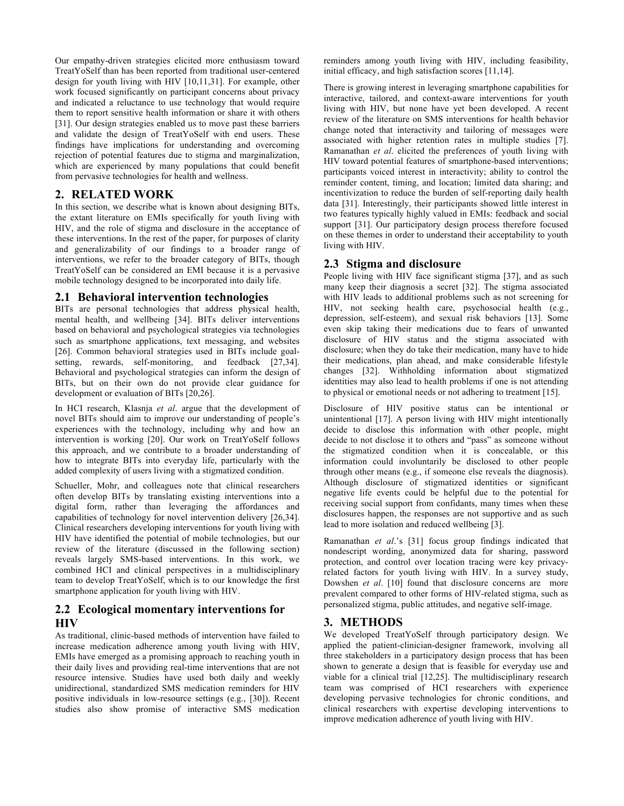Our empathy-driven strategies elicited more enthusiasm toward TreatYoSelf than has been reported from traditional user-centered design for youth living with HIV [10,11,31]. For example, other work focused significantly on participant concerns about privacy and indicated a reluctance to use technology that would require them to report sensitive health information or share it with others [31]. Our design strategies enabled us to move past these barriers and validate the design of TreatYoSelf with end users. These findings have implications for understanding and overcoming rejection of potential features due to stigma and marginalization, which are experienced by many populations that could benefit from pervasive technologies for health and wellness.

# **2. RELATED WORK**

In this section, we describe what is known about designing BITs, the extant literature on EMIs specifically for youth living with HIV, and the role of stigma and disclosure in the acceptance of these interventions. In the rest of the paper, for purposes of clarity and generalizability of our findings to a broader range of interventions, we refer to the broader category of BITs, though TreatYoSelf can be considered an EMI because it is a pervasive mobile technology designed to be incorporated into daily life.

# **2.1 Behavioral intervention technologies**

BITs are personal technologies that address physical health, mental health, and wellbeing [34]. BITs deliver interventions based on behavioral and psychological strategies via technologies such as smartphone applications, text messaging, and websites [26]. Common behavioral strategies used in BITs include goalsetting, rewards, self-monitoring, and feedback [27,34]. Behavioral and psychological strategies can inform the design of BITs, but on their own do not provide clear guidance for development or evaluation of BITs [20,26].

In HCI research, Klasnja *et al*. argue that the development of novel BITs should aim to improve our understanding of people's experiences with the technology, including why and how an intervention is working [20]. Our work on TreatYoSelf follows this approach, and we contribute to a broader understanding of how to integrate BITs into everyday life, particularly with the added complexity of users living with a stigmatized condition.

Schueller, Mohr, and colleagues note that clinical researchers often develop BITs by translating existing interventions into a digital form, rather than leveraging the affordances and capabilities of technology for novel intervention delivery [26,34]. Clinical researchers developing interventions for youth living with HIV have identified the potential of mobile technologies, but our review of the literature (discussed in the following section) reveals largely SMS-based interventions. In this work, we combined HCI and clinical perspectives in a multidisciplinary team to develop TreatYoSelf, which is to our knowledge the first smartphone application for youth living with HIV.

# **2.2 Ecological momentary interventions for HIV**

As traditional, clinic-based methods of intervention have failed to increase medication adherence among youth living with HIV, EMIs have emerged as a promising approach to reaching youth in their daily lives and providing real-time interventions that are not resource intensive. Studies have used both daily and weekly unidirectional, standardized SMS medication reminders for HIV positive individuals in low-resource settings (e.g., [30]). Recent studies also show promise of interactive SMS medication reminders among youth living with HIV, including feasibility, initial efficacy, and high satisfaction scores [11,14].

There is growing interest in leveraging smartphone capabilities for interactive, tailored, and context-aware interventions for youth living with HIV, but none have yet been developed. A recent review of the literature on SMS interventions for health behavior change noted that interactivity and tailoring of messages were associated with higher retention rates in multiple studies [7]. Ramanathan *et al*. elicited the preferences of youth living with HIV toward potential features of smartphone-based interventions; participants voiced interest in interactivity; ability to control the reminder content, timing, and location; limited data sharing; and incentivization to reduce the burden of self-reporting daily health data [31]. Interestingly, their participants showed little interest in two features typically highly valued in EMIs: feedback and social support [31]. Our participatory design process therefore focused on these themes in order to understand their acceptability to youth living with HIV.

# **2.3 Stigma and disclosure**

People living with HIV face significant stigma [37], and as such many keep their diagnosis a secret [32]. The stigma associated with HIV leads to additional problems such as not screening for HIV, not seeking health care, psychosocial health (e.g., depression, self-esteem), and sexual risk behaviors [13]. Some even skip taking their medications due to fears of unwanted disclosure of HIV status and the stigma associated with disclosure; when they do take their medication, many have to hide their medications, plan ahead, and make considerable lifestyle changes [32]. Withholding information about stigmatized identities may also lead to health problems if one is not attending to physical or emotional needs or not adhering to treatment [15].

Disclosure of HIV positive status can be intentional or unintentional [17]. A person living with HIV might intentionally decide to disclose this information with other people, might decide to not disclose it to others and "pass" as someone without the stigmatized condition when it is concealable, or this information could involuntarily be disclosed to other people through other means (e.g., if someone else reveals the diagnosis). Although disclosure of stigmatized identities or significant negative life events could be helpful due to the potential for receiving social support from confidants, many times when these disclosures happen, the responses are not supportive and as such lead to more isolation and reduced wellbeing [3].

Ramanathan *et al*.'s [31] focus group findings indicated that nondescript wording, anonymized data for sharing, password protection, and control over location tracing were key privacyrelated factors for youth living with HIV. In a survey study, Dowshen *et al*. [10] found that disclosure concerns are more prevalent compared to other forms of HIV-related stigma, such as personalized stigma, public attitudes, and negative self-image.

# **3. METHODS**

We developed TreatYoSelf through participatory design. We applied the patient-clinician-designer framework, involving all three stakeholders in a participatory design process that has been shown to generate a design that is feasible for everyday use and viable for a clinical trial [12,25]. The multidisciplinary research team was comprised of HCI researchers with experience developing pervasive technologies for chronic conditions, and clinical researchers with expertise developing interventions to improve medication adherence of youth living with HIV.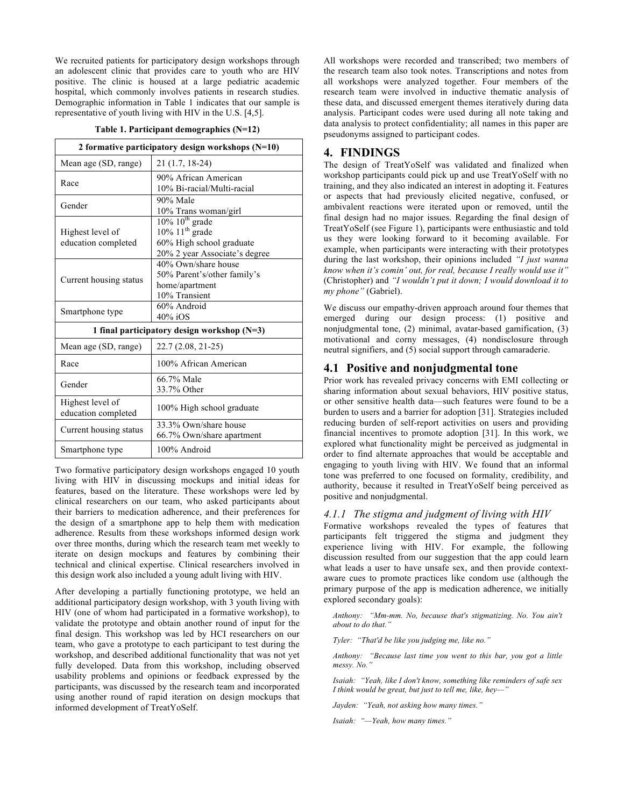We recruited patients for participatory design workshops through an adolescent clinic that provides care to youth who are HIV positive. The clinic is housed at a large pediatric academic hospital, which commonly involves patients in research studies. Demographic information in Table 1 indicates that our sample is representative of youth living with HIV in the U.S. [4,5].

#### **Table 1. Participant demographics (N=12)**

| 2 formative participatory design workshops $(N=10)$ |                                                                                                                      |
|-----------------------------------------------------|----------------------------------------------------------------------------------------------------------------------|
| Mean age (SD, range)                                | 21 (1.7, 18-24)                                                                                                      |
| Race                                                | 90% African American<br>10% Bi-racial/Multi-racial                                                                   |
| Gender                                              | 90% Male<br>10% Trans woman/girl                                                                                     |
| Highest level of<br>education completed             | $10\%$ $10^{th}$ grade<br>$10\%$ 11 <sup>th</sup> grade<br>60% High school graduate<br>20% 2 year Associate's degree |
| Current housing status                              | 40% Own/share house<br>50% Parent's/other family's<br>home/apartment<br>10% Transient                                |
| Smartphone type                                     | 60% Android<br>$40\%$ iOS                                                                                            |
| 1 final participatory design workshop $(N=3)$       |                                                                                                                      |
| Mean age (SD, range)                                | 22.7 (2.08, 21-25)                                                                                                   |
| Race                                                | 100% African American                                                                                                |
| Gender                                              | 66.7% Male<br>33.7% Other                                                                                            |
| Highest level of<br>education completed             | 100% High school graduate                                                                                            |
| Current housing status                              | 33.3% Own/share house<br>66.7% Own/share apartment                                                                   |
| Smartphone type                                     | 100% Android                                                                                                         |

Two formative participatory design workshops engaged 10 youth living with HIV in discussing mockups and initial ideas for features, based on the literature. These workshops were led by clinical researchers on our team, who asked participants about their barriers to medication adherence, and their preferences for the design of a smartphone app to help them with medication adherence. Results from these workshops informed design work over three months, during which the research team met weekly to iterate on design mockups and features by combining their technical and clinical expertise. Clinical researchers involved in this design work also included a young adult living with HIV.

After developing a partially functioning prototype, we held an additional participatory design workshop, with 3 youth living with HIV (one of whom had participated in a formative workshop), to validate the prototype and obtain another round of input for the final design. This workshop was led by HCI researchers on our team, who gave a prototype to each participant to test during the workshop, and described additional functionality that was not yet fully developed. Data from this workshop, including observed usability problems and opinions or feedback expressed by the participants, was discussed by the research team and incorporated using another round of rapid iteration on design mockups that informed development of TreatYoSelf.

All workshops were recorded and transcribed; two members of the research team also took notes. Transcriptions and notes from all workshops were analyzed together. Four members of the research team were involved in inductive thematic analysis of these data, and discussed emergent themes iteratively during data analysis. Participant codes were used during all note taking and data analysis to protect confidentiality; all names in this paper are pseudonyms assigned to participant codes.

### **4. FINDINGS**

The design of TreatYoSelf was validated and finalized when workshop participants could pick up and use TreatYoSelf with no training, and they also indicated an interest in adopting it. Features or aspects that had previously elicited negative, confused, or ambivalent reactions were iterated upon or removed, until the final design had no major issues. Regarding the final design of TreatYoSelf (see Figure 1), participants were enthusiastic and told us they were looking forward to it becoming available. For example, when participants were interacting with their prototypes during the last workshop, their opinions included *"I just wanna know when it's comin' out, for real, because I really would use it"* (Christopher) and *"I wouldn't put it down; I would download it to my phone"* (Gabriel).

We discuss our empathy-driven approach around four themes that emerged during our design process: (1) positive and nonjudgmental tone, (2) minimal, avatar-based gamification, (3) motivational and corny messages, (4) nondisclosure through neutral signifiers, and (5) social support through camaraderie.

#### **4.1 Positive and nonjudgmental tone**

Prior work has revealed privacy concerns with EMI collecting or sharing information about sexual behaviors, HIV positive status, or other sensitive health data—such features were found to be a burden to users and a barrier for adoption [31]. Strategies included reducing burden of self-report activities on users and providing financial incentives to promote adoption [31]. In this work, we explored what functionality might be perceived as judgmental in order to find alternate approaches that would be acceptable and engaging to youth living with HIV. We found that an informal tone was preferred to one focused on formality, credibility, and authority, because it resulted in TreatYoSelf being perceived as positive and nonjudgmental.

### *4.1.1 The stigma and judgment of living with HIV*

Formative workshops revealed the types of features that participants felt triggered the stigma and judgment they experience living with HIV. For example, the following discussion resulted from our suggestion that the app could learn what leads a user to have unsafe sex, and then provide contextaware cues to promote practices like condom use (although the primary purpose of the app is medication adherence, we initially explored secondary goals):

*Anthony: "Mm-mm. No, because that's stigmatizing. No. You ain't about to do that."*

*Tyler: "That'd be like you judging me, like no."*

*Anthony: "Because last time you went to this bar, you got a little messy. No."*

*Isaiah: "Yeah, like I don't know, something like reminders of safe sex I think would be great, but just to tell me, like, hey—"*

*Jayden: "Yeah, not asking how many times."* 

*Isaiah: "—Yeah, how many times."*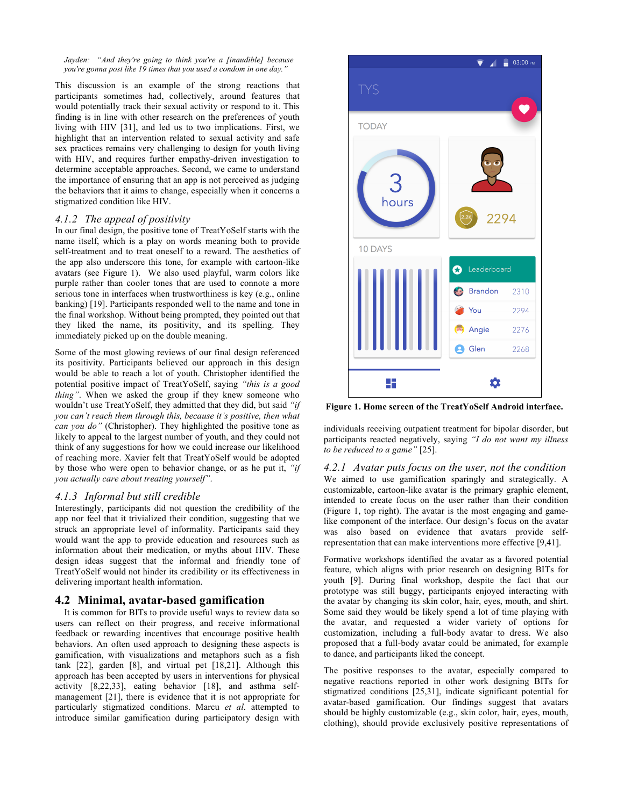*Jayden: "And they're going to think you're a [inaudible] because you're gonna post like 19 times that you used a condom in one day."*

This discussion is an example of the strong reactions that participants sometimes had, collectively, around features that would potentially track their sexual activity or respond to it. This finding is in line with other research on the preferences of youth living with HIV [31], and led us to two implications. First, we highlight that an intervention related to sexual activity and safe sex practices remains very challenging to design for youth living with HIV, and requires further empathy-driven investigation to determine acceptable approaches. Second, we came to understand the importance of ensuring that an app is not perceived as judging the behaviors that it aims to change, especially when it concerns a stigmatized condition like HIV.

#### *4.1.2 The appeal of positivity*

In our final design, the positive tone of TreatYoSelf starts with the name itself, which is a play on words meaning both to provide self-treatment and to treat oneself to a reward. The aesthetics of the app also underscore this tone, for example with cartoon-like avatars (see Figure 1). We also used playful, warm colors like purple rather than cooler tones that are used to connote a more serious tone in interfaces when trustworthiness is key (e.g., online banking) [19]. Participants responded well to the name and tone in the final workshop. Without being prompted, they pointed out that they liked the name, its positivity, and its spelling. They immediately picked up on the double meaning.

Some of the most glowing reviews of our final design referenced its positivity. Participants believed our approach in this design would be able to reach a lot of youth. Christopher identified the potential positive impact of TreatYoSelf, saying *"this is a good thing"*. When we asked the group if they knew someone who wouldn't use TreatYoSelf, they admitted that they did, but said *"if you can't reach them through this, because it's positive, then what can you do"* (Christopher). They highlighted the positive tone as likely to appeal to the largest number of youth, and they could not think of any suggestions for how we could increase our likelihood of reaching more. Xavier felt that TreatYoSelf would be adopted by those who were open to behavior change, or as he put it, *"if you actually care about treating yourself"*.

#### *4.1.3 Informal but still credible*

Interestingly, participants did not question the credibility of the app nor feel that it trivialized their condition, suggesting that we struck an appropriate level of informality. Participants said they would want the app to provide education and resources such as information about their medication, or myths about HIV. These design ideas suggest that the informal and friendly tone of TreatYoSelf would not hinder its credibility or its effectiveness in delivering important health information.

# **4.2 Minimal, avatar-based gamification**

It is common for BITs to provide useful ways to review data so users can reflect on their progress, and receive informational feedback or rewarding incentives that encourage positive health behaviors. An often used approach to designing these aspects is gamification, with visualizations and metaphors such as a fish tank [22], garden [8], and virtual pet [18,21]. Although this approach has been accepted by users in interventions for physical activity [8,22,33], eating behavior [18], and asthma selfmanagement [21], there is evidence that it is not appropriate for particularly stigmatized conditions. Marcu *et al*. attempted to introduce similar gamification during participatory design with



**Figure 1. Home screen of the TreatYoSelf Android interface.**

individuals receiving outpatient treatment for bipolar disorder, but participants reacted negatively, saying *"I do not want my illness to be reduced to a game"* [25].

*4.2.1 Avatar puts focus on the user, not the condition* We aimed to use gamification sparingly and strategically. A customizable, cartoon-like avatar is the primary graphic element, intended to create focus on the user rather than their condition (Figure 1, top right). The avatar is the most engaging and gamelike component of the interface. Our design's focus on the avatar was also based on evidence that avatars provide selfrepresentation that can make interventions more effective [9,41].

Formative workshops identified the avatar as a favored potential feature, which aligns with prior research on designing BITs for youth [9]. During final workshop, despite the fact that our prototype was still buggy, participants enjoyed interacting with the avatar by changing its skin color, hair, eyes, mouth, and shirt. Some said they would be likely spend a lot of time playing with the avatar, and requested a wider variety of options for customization, including a full-body avatar to dress. We also proposed that a full-body avatar could be animated, for example to dance, and participants liked the concept.

The positive responses to the avatar, especially compared to negative reactions reported in other work designing BITs for stigmatized conditions [25,31], indicate significant potential for avatar-based gamification. Our findings suggest that avatars should be highly customizable (e.g., skin color, hair, eyes, mouth, clothing), should provide exclusively positive representations of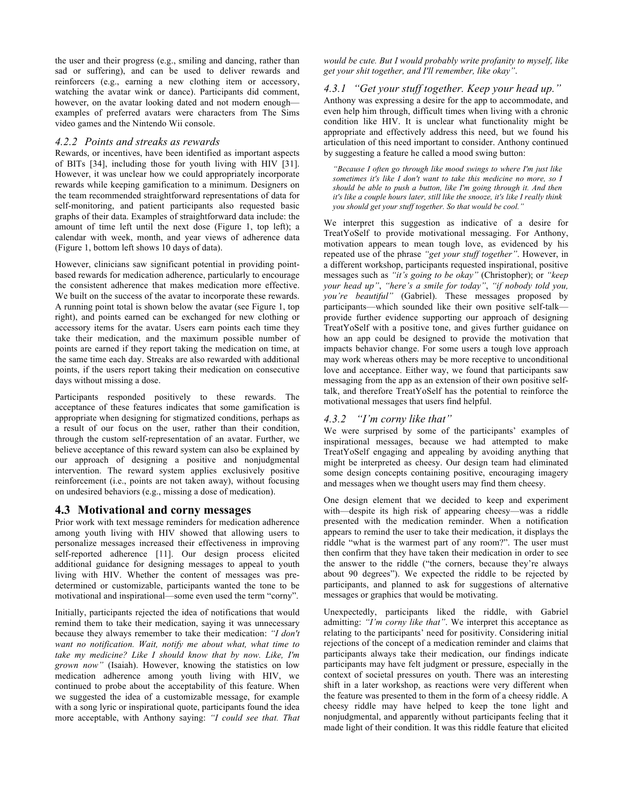the user and their progress (e.g., smiling and dancing, rather than sad or suffering), and can be used to deliver rewards and reinforcers (e.g., earning a new clothing item or accessory, watching the avatar wink or dance). Participants did comment, however, on the avatar looking dated and not modern enough examples of preferred avatars were characters from The Sims video games and the Nintendo Wii console.

#### *4.2.2 Points and streaks as rewards*

Rewards, or incentives, have been identified as important aspects of BITs [34], including those for youth living with HIV [31]. However, it was unclear how we could appropriately incorporate rewards while keeping gamification to a minimum. Designers on the team recommended straightforward representations of data for self-monitoring, and patient participants also requested basic graphs of their data. Examples of straightforward data include: the amount of time left until the next dose (Figure 1, top left); a calendar with week, month, and year views of adherence data (Figure 1, bottom left shows 10 days of data).

However, clinicians saw significant potential in providing pointbased rewards for medication adherence, particularly to encourage the consistent adherence that makes medication more effective. We built on the success of the avatar to incorporate these rewards. A running point total is shown below the avatar (see Figure 1, top right), and points earned can be exchanged for new clothing or accessory items for the avatar. Users earn points each time they take their medication, and the maximum possible number of points are earned if they report taking the medication on time, at the same time each day. Streaks are also rewarded with additional points, if the users report taking their medication on consecutive days without missing a dose.

Participants responded positively to these rewards. The acceptance of these features indicates that some gamification is appropriate when designing for stigmatized conditions, perhaps as a result of our focus on the user, rather than their condition, through the custom self-representation of an avatar. Further, we believe acceptance of this reward system can also be explained by our approach of designing a positive and nonjudgmental intervention. The reward system applies exclusively positive reinforcement (i.e., points are not taken away), without focusing on undesired behaviors (e.g., missing a dose of medication).

# **4.3 Motivational and corny messages**

Prior work with text message reminders for medication adherence among youth living with HIV showed that allowing users to personalize messages increased their effectiveness in improving self-reported adherence [11]. Our design process elicited additional guidance for designing messages to appeal to youth living with HIV. Whether the content of messages was predetermined or customizable, participants wanted the tone to be motivational and inspirational—some even used the term "corny".

Initially, participants rejected the idea of notifications that would remind them to take their medication, saying it was unnecessary because they always remember to take their medication: *"I don't want no notification. Wait, notify me about what, what time to take my medicine? Like I should know that by now. Like, I'm grown now"* (Isaiah). However, knowing the statistics on low medication adherence among youth living with HIV, we continued to probe about the acceptability of this feature. When we suggested the idea of a customizable message, for example with a song lyric or inspirational quote, participants found the idea more acceptable, with Anthony saying: *"I could see that. That* 

#### *would be cute. But I would probably write profanity to myself, like get your shit together, and I'll remember, like okay"*.

# *4.3.1 "Get your stuff together. Keep your head up."*

Anthony was expressing a desire for the app to accommodate, and even help him through, difficult times when living with a chronic condition like HIV. It is unclear what functionality might be appropriate and effectively address this need, but we found his articulation of this need important to consider. Anthony continued by suggesting a feature he called a mood swing button:

*"Because I often go through like mood swings to where I'm just like sometimes it's like I don't want to take this medicine no more, so I should be able to push a button, like I'm going through it. And then it's like a couple hours later, still like the snooze, it's like I really think you should get your stuff together. So that would be cool."*

We interpret this suggestion as indicative of a desire for TreatYoSelf to provide motivational messaging. For Anthony, motivation appears to mean tough love, as evidenced by his repeated use of the phrase *"get your stuff together"*. However, in a different workshop, participants requested inspirational, positive messages such as *"it's going to be okay"* (Christopher); or *"keep your head up"*, *"here's a smile for today"*, *"if nobody told you, you're beautiful"* (Gabriel). These messages proposed by participants—which sounded like their own positive self-talk provide further evidence supporting our approach of designing TreatYoSelf with a positive tone, and gives further guidance on how an app could be designed to provide the motivation that impacts behavior change. For some users a tough love approach may work whereas others may be more receptive to unconditional love and acceptance. Either way, we found that participants saw messaging from the app as an extension of their own positive selftalk, and therefore TreatYoSelf has the potential to reinforce the motivational messages that users find helpful.

# *4.3.2 "I'm corny like that"*

We were surprised by some of the participants' examples of inspirational messages, because we had attempted to make TreatYoSelf engaging and appealing by avoiding anything that might be interpreted as cheesy. Our design team had eliminated some design concepts containing positive, encouraging imagery and messages when we thought users may find them cheesy.

One design element that we decided to keep and experiment with—despite its high risk of appearing cheesy—was a riddle presented with the medication reminder. When a notification appears to remind the user to take their medication, it displays the riddle "what is the warmest part of any room?". The user must then confirm that they have taken their medication in order to see the answer to the riddle ("the corners, because they're always about 90 degrees"). We expected the riddle to be rejected by participants, and planned to ask for suggestions of alternative messages or graphics that would be motivating.

Unexpectedly, participants liked the riddle, with Gabriel admitting: *"I'm corny like that"*. We interpret this acceptance as relating to the participants' need for positivity. Considering initial rejections of the concept of a medication reminder and claims that participants always take their medication, our findings indicate participants may have felt judgment or pressure, especially in the context of societal pressures on youth. There was an interesting shift in a later workshop, as reactions were very different when the feature was presented to them in the form of a cheesy riddle. A cheesy riddle may have helped to keep the tone light and nonjudgmental, and apparently without participants feeling that it made light of their condition. It was this riddle feature that elicited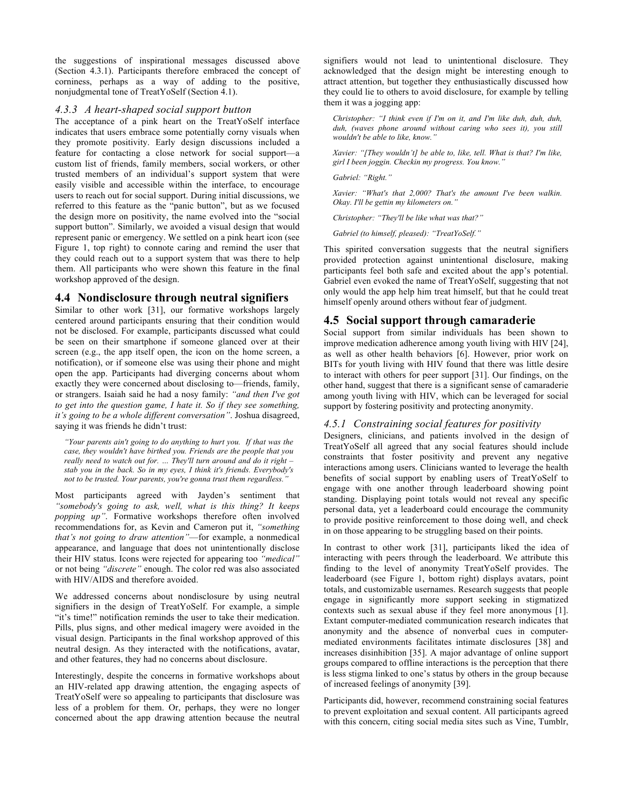the suggestions of inspirational messages discussed above (Section 4.3.1). Participants therefore embraced the concept of corniness, perhaps as a way of adding to the positive, nonjudgmental tone of TreatYoSelf (Section 4.1).

#### *4.3.3 A heart-shaped social support button*

The acceptance of a pink heart on the TreatYoSelf interface indicates that users embrace some potentially corny visuals when they promote positivity. Early design discussions included a feature for contacting a close network for social support—a custom list of friends, family members, social workers, or other trusted members of an individual's support system that were easily visible and accessible within the interface, to encourage users to reach out for social support. During initial discussions, we referred to this feature as the "panic button", but as we focused the design more on positivity, the name evolved into the "social support button". Similarly, we avoided a visual design that would represent panic or emergency. We settled on a pink heart icon (see Figure 1, top right) to connote caring and remind the user that they could reach out to a support system that was there to help them. All participants who were shown this feature in the final workshop approved of the design.

### **4.4 Nondisclosure through neutral signifiers**

Similar to other work [31], our formative workshops largely centered around participants ensuring that their condition would not be disclosed. For example, participants discussed what could be seen on their smartphone if someone glanced over at their screen (e.g., the app itself open, the icon on the home screen, a notification), or if someone else was using their phone and might open the app. Participants had diverging concerns about whom exactly they were concerned about disclosing to—friends, family, or strangers. Isaiah said he had a nosy family: *"and then I've got to get into the question game, I hate it. So if they see something, it's going to be a whole different conversation"*. Joshua disagreed, saying it was friends he didn't trust:

*"Your parents ain't going to do anything to hurt you. If that was the case, they wouldn't have birthed you. Friends are the people that you really need to watch out for. … They'll turn around and do it right – stab you in the back. So in my eyes, I think it's friends. Everybody's not to be trusted. Your parents, you're gonna trust them regardless."*

Most participants agreed with Jayden's sentiment that *"somebody's going to ask, well, what is this thing? It keeps popping up"*. Formative workshops therefore often involved recommendations for, as Kevin and Cameron put it, *"something that's not going to draw attention"*—for example, a nonmedical appearance, and language that does not unintentionally disclose their HIV status. Icons were rejected for appearing too *"medical"* or not being *"discrete"* enough. The color red was also associated with HIV/AIDS and therefore avoided.

We addressed concerns about nondisclosure by using neutral signifiers in the design of TreatYoSelf. For example, a simple "it's time!" notification reminds the user to take their medication. Pills, plus signs, and other medical imagery were avoided in the visual design. Participants in the final workshop approved of this neutral design. As they interacted with the notifications, avatar, and other features, they had no concerns about disclosure.

Interestingly, despite the concerns in formative workshops about an HIV-related app drawing attention, the engaging aspects of TreatYoSelf were so appealing to participants that disclosure was less of a problem for them. Or, perhaps, they were no longer concerned about the app drawing attention because the neutral signifiers would not lead to unintentional disclosure. They acknowledged that the design might be interesting enough to attract attention, but together they enthusiastically discussed how they could lie to others to avoid disclosure, for example by telling them it was a jogging app:

*Christopher: "I think even if I'm on it, and I'm like duh, duh, duh, duh, (waves phone around without caring who sees it), you still wouldn't be able to like, know."*

*Xavier: "[They wouldn't] be able to, like, tell. What is that? I'm like, girl I been joggin. Checkin my progress. You know."*

*Gabriel: "Right."*

*Xavier: "What's that 2,000? That's the amount I've been walkin. Okay. I'll be gettin my kilometers on."*

*Christopher: "They'll be like what was that?"*

*Gabriel (to himself, pleased): "TreatYoSelf."*

This spirited conversation suggests that the neutral signifiers provided protection against unintentional disclosure, making participants feel both safe and excited about the app's potential. Gabriel even evoked the name of TreatYoSelf, suggesting that not only would the app help him treat himself, but that he could treat himself openly around others without fear of judgment.

# **4.5 Social support through camaraderie**

Social support from similar individuals has been shown to improve medication adherence among youth living with HIV [24], as well as other health behaviors [6]. However, prior work on BITs for youth living with HIV found that there was little desire to interact with others for peer support [31]. Our findings, on the other hand, suggest that there is a significant sense of camaraderie among youth living with HIV, which can be leveraged for social support by fostering positivity and protecting anonymity.

### *4.5.1 Constraining social features for positivity*

Designers, clinicians, and patients involved in the design of TreatYoSelf all agreed that any social features should include constraints that foster positivity and prevent any negative interactions among users. Clinicians wanted to leverage the health benefits of social support by enabling users of TreatYoSelf to engage with one another through leaderboard showing point standing. Displaying point totals would not reveal any specific personal data, yet a leaderboard could encourage the community to provide positive reinforcement to those doing well, and check in on those appearing to be struggling based on their points.

In contrast to other work [31], participants liked the idea of interacting with peers through the leaderboard. We attribute this finding to the level of anonymity TreatYoSelf provides. The leaderboard (see Figure 1, bottom right) displays avatars, point totals, and customizable usernames. Research suggests that people engage in significantly more support seeking in stigmatized contexts such as sexual abuse if they feel more anonymous [1]. Extant computer-mediated communication research indicates that anonymity and the absence of nonverbal cues in computermediated environments facilitates intimate disclosures [38] and increases disinhibition [35]. A major advantage of online support groups compared to offline interactions is the perception that there is less stigma linked to one's status by others in the group because of increased feelings of anonymity [39].

Participants did, however, recommend constraining social features to prevent exploitation and sexual content. All participants agreed with this concern, citing social media sites such as Vine, Tumblr,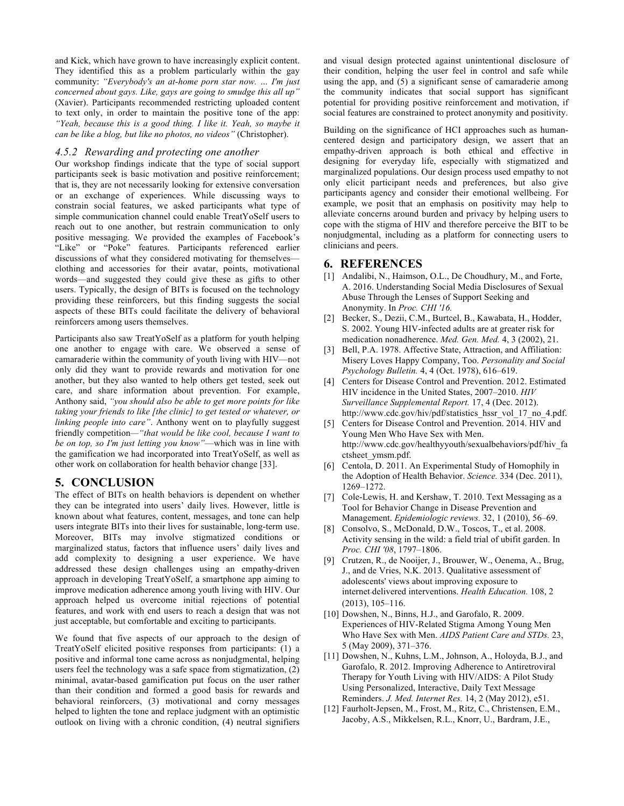and Kick, which have grown to have increasingly explicit content. They identified this as a problem particularly within the gay community: *"Everybody's an at-home porn star now. … I'm just concerned about gays. Like, gays are going to smudge this all up"*  (Xavier). Participants recommended restricting uploaded content to text only, in order to maintain the positive tone of the app: *"Yeah, because this is a good thing. I like it. Yeah, so maybe it can be like a blog, but like no photos, no videos"* (Christopher).

#### *4.5.2 Rewarding and protecting one another*

Our workshop findings indicate that the type of social support participants seek is basic motivation and positive reinforcement; that is, they are not necessarily looking for extensive conversation or an exchange of experiences. While discussing ways to constrain social features, we asked participants what type of simple communication channel could enable TreatYoSelf users to reach out to one another, but restrain communication to only positive messaging. We provided the examples of Facebook's "Like" or "Poke" features. Participants referenced earlier discussions of what they considered motivating for themselves clothing and accessories for their avatar, points, motivational words—and suggested they could give these as gifts to other users. Typically, the design of BITs is focused on the technology providing these reinforcers, but this finding suggests the social aspects of these BITs could facilitate the delivery of behavioral reinforcers among users themselves.

Participants also saw TreatYoSelf as a platform for youth helping one another to engage with care. We observed a sense of camaraderie within the community of youth living with HIV—not only did they want to provide rewards and motivation for one another, but they also wanted to help others get tested, seek out care, and share information about prevention. For example, Anthony said, *"you should also be able to get more points for like taking your friends to like [the clinic] to get tested or whatever, or linking people into care"*. Anthony went on to playfully suggest friendly competition*—"that would be like cool, because I want to be on top, so I'm just letting you know"*—which was in line with the gamification we had incorporated into TreatYoSelf, as well as other work on collaboration for health behavior change [33].

### **5. CONCLUSION**

The effect of BITs on health behaviors is dependent on whether they can be integrated into users' daily lives. However, little is known about what features, content, messages, and tone can help users integrate BITs into their lives for sustainable, long-term use. Moreover, BITs may involve stigmatized conditions or marginalized status, factors that influence users' daily lives and add complexity to designing a user experience. We have addressed these design challenges using an empathy-driven approach in developing TreatYoSelf, a smartphone app aiming to improve medication adherence among youth living with HIV. Our approach helped us overcome initial rejections of potential features, and work with end users to reach a design that was not just acceptable, but comfortable and exciting to participants.

We found that five aspects of our approach to the design of TreatYoSelf elicited positive responses from participants: (1) a positive and informal tone came across as nonjudgmental, helping users feel the technology was a safe space from stigmatization, (2) minimal, avatar-based gamification put focus on the user rather than their condition and formed a good basis for rewards and behavioral reinforcers, (3) motivational and corny messages helped to lighten the tone and replace judgment with an optimistic outlook on living with a chronic condition, (4) neutral signifiers

and visual design protected against unintentional disclosure of their condition, helping the user feel in control and safe while using the app, and (5) a significant sense of camaraderie among the community indicates that social support has significant potential for providing positive reinforcement and motivation, if social features are constrained to protect anonymity and positivity.

Building on the significance of HCI approaches such as humancentered design and participatory design, we assert that an empathy-driven approach is both ethical and effective in designing for everyday life, especially with stigmatized and marginalized populations. Our design process used empathy to not only elicit participant needs and preferences, but also give participants agency and consider their emotional wellbeing. For example, we posit that an emphasis on positivity may help to alleviate concerns around burden and privacy by helping users to cope with the stigma of HIV and therefore perceive the BIT to be nonjudgmental, including as a platform for connecting users to clinicians and peers.

# **6. REFERENCES**

- [1] Andalibi, N., Haimson, O.L., De Choudhury, M., and Forte, A. 2016. Understanding Social Media Disclosures of Sexual Abuse Through the Lenses of Support Seeking and Anonymity. In *Proc. CHI '16.*
- [2] Becker, S., Dezii, C.M., Burtcel, B., Kawabata, H., Hodder, S. 2002. Young HIV-infected adults are at greater risk for medication nonadherence. *Med. Gen. Med.* 4, 3 (2002), 21.
- [3] Bell, P.A. 1978. Affective State, Attraction, and Affiliation: Misery Loves Happy Company, Too. *Personality and Social Psychology Bulletin.* 4, 4 (Oct. 1978), 616–619.
- [4] Centers for Disease Control and Prevention. 2012. Estimated HIV incidence in the United States, 2007–2010. *HIV Surveillance Supplemental Report.* 17, 4 (Dec. 2012). http://www.cdc.gov/hiv/pdf/statistics\_hssr\_vol\_17\_no\_4.pdf.
- [5] Centers for Disease Control and Prevention. 2014. HIV and Young Men Who Have Sex with Men. http://www.cdc.gov/healthyyouth/sexualbehaviors/pdf/hiv\_fa ctsheet\_ymsm.pdf.
- [6] Centola, D. 2011. An Experimental Study of Homophily in the Adoption of Health Behavior. *Science.* 334 (Dec. 2011), 1269–1272.
- [7] Cole-Lewis, H. and Kershaw, T. 2010. Text Messaging as a Tool for Behavior Change in Disease Prevention and Management. *Epidemiologic reviews.* 32, 1 (2010), 56–69.
- [8] Consolvo, S., McDonald, D.W., Toscos, T., et al. 2008. Activity sensing in the wild: a field trial of ubifit garden. In *Proc. CHI '08*, 1797–1806.
- [9] Crutzen, R., de Nooijer, J., Brouwer, W., Oenema, A., Brug, J., and de Vries, N.K. 2013. Qualitative assessment of adolescents' views about improving exposure to internet‐delivered interventions. *Health Education.* 108, 2 (2013), 105–116.
- [10] Dowshen, N., Binns, H.J., and Garofalo, R. 2009. Experiences of HIV-Related Stigma Among Young Men Who Have Sex with Men. *AIDS Patient Care and STDs.* 23, 5 (May 2009), 371–376.
- [11] Dowshen, N., Kuhns, L.M., Johnson, A., Holoyda, B.J., and Garofalo, R. 2012. Improving Adherence to Antiretroviral Therapy for Youth Living with HIV/AIDS: A Pilot Study Using Personalized, Interactive, Daily Text Message Reminders. *J. Med. Internet Res.* 14, 2 (May 2012), e51.
- [12] Faurholt-Jepsen, M., Frost, M., Ritz, C., Christensen, E.M., Jacoby, A.S., Mikkelsen, R.L., Knorr, U., Bardram, J.E.,